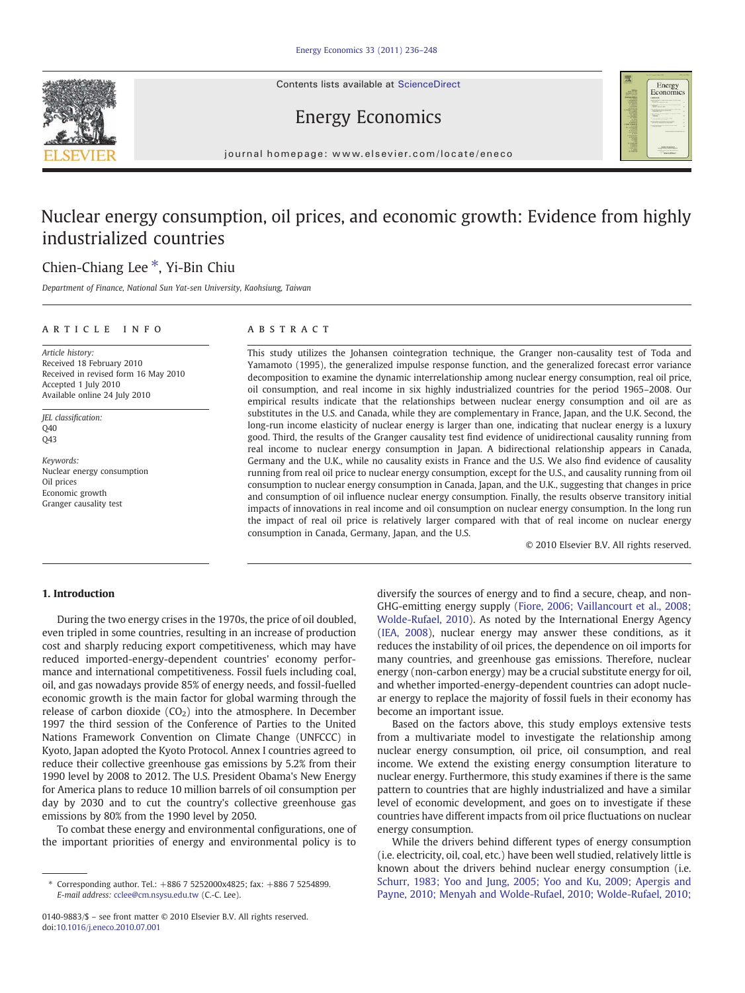Contents lists available at ScienceDirect







journal homepage: www.elsevier.com/locate/eneco

# Nuclear energy consumption, oil prices, and economic growth: Evidence from highly industrialized countries

## Chien-Chiang Lee ⁎, Yi-Bin Chiu

Department of Finance, National Sun Yat-sen University, Kaohsiung, Taiwan

### ARTICLE INFO ABSTRACT

Article history: Received 18 February 2010 Received in revised form 16 May 2010 Accepted 1 July 2010 Available online 24 July 2010

JEL classification:  $040$ Q43

Keywords: Nuclear energy consumption Oil prices Economic growth Granger causality test

Yamamoto (1995), the generalized impulse response function, and the generalized forecast error variance decomposition to examine the dynamic interrelationship among nuclear energy consumption, real oil price, oil consumption, and real income in six highly industrialized countries for the period 1965–2008. Our empirical results indicate that the relationships between nuclear energy consumption and oil are as substitutes in the U.S. and Canada, while they are complementary in France, Japan, and the U.K. Second, the long-run income elasticity of nuclear energy is larger than one, indicating that nuclear energy is a luxury good. Third, the results of the Granger causality test find evidence of unidirectional causality running from real income to nuclear energy consumption in Japan. A bidirectional relationship appears in Canada, Germany and the U.K., while no causality exists in France and the U.S. We also find evidence of causality running from real oil price to nuclear energy consumption, except for the U.S., and causality running from oil consumption to nuclear energy consumption in Canada, Japan, and the U.K., suggesting that changes in price and consumption of oil influence nuclear energy consumption. Finally, the results observe transitory initial impacts of innovations in real income and oil consumption on nuclear energy consumption. In the long run the impact of real oil price is relatively larger compared with that of real income on nuclear energy consumption in Canada, Germany, Japan, and the U.S.

This study utilizes the Johansen cointegration technique, the Granger non-causality test of Toda and

© 2010 Elsevier B.V. All rights reserved.

### 1. Introduction

During the two energy crises in the 1970s, the price of oil doubled, even tripled in some countries, resulting in an increase of production cost and sharply reducing export competitiveness, which may have reduced imported-energy-dependent countries' economy performance and international competitiveness. Fossil fuels including coal, oil, and gas nowadays provide 85% of energy needs, and fossil-fuelled economic growth is the main factor for global warming through the release of carbon dioxide  $(CO<sub>2</sub>)$  into the atmosphere. In December 1997 the third session of the Conference of Parties to the United Nations Framework Convention on Climate Change (UNFCCC) in Kyoto, Japan adopted the Kyoto Protocol. Annex I countries agreed to reduce their collective greenhouse gas emissions by 5.2% from their 1990 level by 2008 to 2012. The U.S. President Obama's New Energy for America plans to reduce 10 million barrels of oil consumption per day by 2030 and to cut the country's collective greenhouse gas emissions by 80% from the 1990 level by 2050.

To combat these energy and environmental configurations, one of the important priorities of energy and environmental policy is to

diversify the sources of energy and to find a secure, cheap, and non-GHG-emitting energy supply ([Fiore, 2006; Vaillancourt et al., 2008;](#page--1-0) [Wolde-Rufael, 2010\)](#page--1-0). As noted by the International Energy Agency [\(IEA, 2008](#page--1-0)), nuclear energy may answer these conditions, as it reduces the instability of oil prices, the dependence on oil imports for many countries, and greenhouse gas emissions. Therefore, nuclear energy (non-carbon energy) may be a crucial substitute energy for oil, and whether imported-energy-dependent countries can adopt nuclear energy to replace the majority of fossil fuels in their economy has become an important issue.

Based on the factors above, this study employs extensive tests from a multivariate model to investigate the relationship among nuclear energy consumption, oil price, oil consumption, and real income. We extend the existing energy consumption literature to nuclear energy. Furthermore, this study examines if there is the same pattern to countries that are highly industrialized and have a similar level of economic development, and goes on to investigate if these countries have different impacts from oil price fluctuations on nuclear energy consumption.

While the drivers behind different types of energy consumption (i.e. electricity, oil, coal, etc.) have been well studied, relatively little is known about the drivers behind nuclear energy consumption (i.e. [Schurr, 1983; Yoo and Jung, 2005; Yoo and Ku, 2009; Apergis and](#page--1-0) [Payne, 2010; Menyah and Wolde-Rufael, 2010; Wolde-Rufael, 2010;](#page--1-0)

<sup>⁎</sup> Corresponding author. Tel.: +886 7 5252000x4825; fax: +886 7 5254899. E-mail address: [cclee@cm.nsysu.edu.tw](mailto:cclee@cm.nsysu.edu.tw) (C.-C. Lee).

<sup>0140-9883/\$</sup> – see front matter © 2010 Elsevier B.V. All rights reserved. doi[:10.1016/j.eneco.2010.07.001](http://dx.doi.org/10.1016/j.eneco.2010.07.001)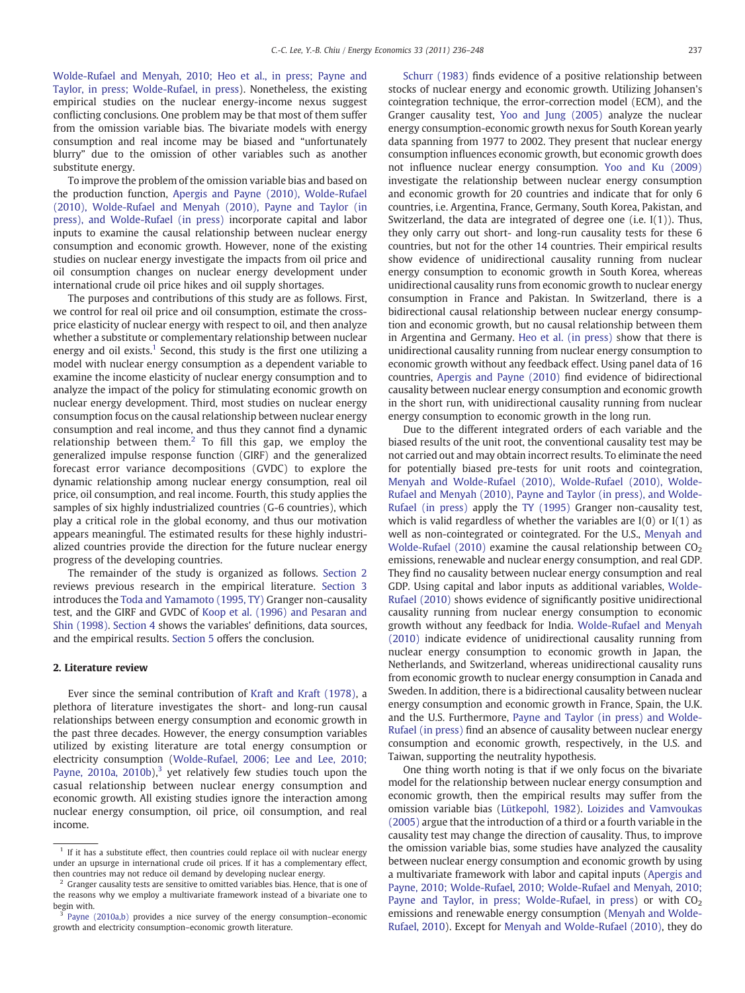[Wolde-Rufael and Menyah, 2010; Heo et al., in press; Payne and](#page--1-0) [Taylor, in press; Wolde-Rufael, in press](#page--1-0)). Nonetheless, the existing empirical studies on the nuclear energy-income nexus suggest conflicting conclusions. One problem may be that most of them suffer from the omission variable bias. The bivariate models with energy consumption and real income may be biased and "unfortunately blurry" due to the omission of other variables such as another substitute energy.

To improve the problem of the omission variable bias and based on the production function, [Apergis and Payne \(2010\), Wolde-Rufael](#page--1-0) [\(2010\), Wolde-Rufael and Menyah \(2010\), Payne and Taylor \(in](#page--1-0) [press\), and Wolde-Rufael \(in press\)](#page--1-0) incorporate capital and labor inputs to examine the causal relationship between nuclear energy consumption and economic growth. However, none of the existing studies on nuclear energy investigate the impacts from oil price and oil consumption changes on nuclear energy development under international crude oil price hikes and oil supply shortages.

The purposes and contributions of this study are as follows. First, we control for real oil price and oil consumption, estimate the crossprice elasticity of nuclear energy with respect to oil, and then analyze whether a substitute or complementary relationship between nuclear energy and oil exists.<sup>1</sup> Second, this study is the first one utilizing a model with nuclear energy consumption as a dependent variable to examine the income elasticity of nuclear energy consumption and to analyze the impact of the policy for stimulating economic growth on nuclear energy development. Third, most studies on nuclear energy consumption focus on the causal relationship between nuclear energy consumption and real income, and thus they cannot find a dynamic relationship between them.<sup>2</sup> To fill this gap, we employ the generalized impulse response function (GIRF) and the generalized forecast error variance decompositions (GVDC) to explore the dynamic relationship among nuclear energy consumption, real oil price, oil consumption, and real income. Fourth, this study applies the samples of six highly industrialized countries (G-6 countries), which play a critical role in the global economy, and thus our motivation appears meaningful. The estimated results for these highly industrialized countries provide the direction for the future nuclear energy progress of the developing countries.

The remainder of the study is organized as follows. Section 2 reviews previous research in the empirical literature. [Section 3](#page--1-0) introduces the [Toda and Yamamoto \(1995, TY\)](#page--1-0) Granger non-causality test, and the GIRF and GVDC of [Koop et al. \(1996\) and Pesaran and](#page--1-0) [Shin \(1998\)](#page--1-0). [Section 4](#page--1-0) shows the variables' definitions, data sources, and the empirical results. [Section 5](#page--1-0) offers the conclusion.

### 2. Literature review

Ever since the seminal contribution of [Kraft and Kraft \(1978\),](#page--1-0) a plethora of literature investigates the short- and long-run causal relationships between energy consumption and economic growth in the past three decades. However, the energy consumption variables utilized by existing literature are total energy consumption or electricity consumption ([Wolde-Rufael, 2006; Lee and Lee, 2010;](#page--1-0) [Payne, 2010a, 2010b](#page--1-0)), $3$  yet relatively few studies touch upon the casual relationship between nuclear energy consumption and economic growth. All existing studies ignore the interaction among nuclear energy consumption, oil price, oil consumption, and real income.

[Schurr \(1983\)](#page--1-0) finds evidence of a positive relationship between stocks of nuclear energy and economic growth. Utilizing Johansen's cointegration technique, the error-correction model (ECM), and the Granger causality test, [Yoo and Jung \(2005\)](#page--1-0) analyze the nuclear energy consumption-economic growth nexus for South Korean yearly data spanning from 1977 to 2002. They present that nuclear energy consumption influences economic growth, but economic growth does not influence nuclear energy consumption. [Yoo and Ku \(2009\)](#page--1-0) investigate the relationship between nuclear energy consumption and economic growth for 20 countries and indicate that for only 6 countries, i.e. Argentina, France, Germany, South Korea, Pakistan, and Switzerland, the data are integrated of degree one (i.e. I(1)). Thus, they only carry out short- and long-run causality tests for these 6 countries, but not for the other 14 countries. Their empirical results show evidence of unidirectional causality running from nuclear energy consumption to economic growth in South Korea, whereas unidirectional causality runs from economic growth to nuclear energy consumption in France and Pakistan. In Switzerland, there is a bidirectional causal relationship between nuclear energy consumption and economic growth, but no causal relationship between them in Argentina and Germany. [Heo et al. \(in press\)](#page--1-0) show that there is unidirectional causality running from nuclear energy consumption to economic growth without any feedback effect. Using panel data of 16 countries, [Apergis and Payne \(2010\)](#page--1-0) find evidence of bidirectional causality between nuclear energy consumption and economic growth in the short run, with unidirectional causality running from nuclear energy consumption to economic growth in the long run.

Due to the different integrated orders of each variable and the biased results of the unit root, the conventional causality test may be not carried out and may obtain incorrect results. To eliminate the need for potentially biased pre-tests for unit roots and cointegration, [Menyah and Wolde-Rufael \(2010\), Wolde-Rufael \(2010\), Wolde-](#page--1-0)[Rufael and Menyah \(2010\), Payne and Taylor \(in press\), and Wolde-](#page--1-0)[Rufael \(in press\)](#page--1-0) apply the [TY \(1995\)](#page--1-0) Granger non-causality test, which is valid regardless of whether the variables are  $I(0)$  or  $I(1)$  as well as non-cointegrated or cointegrated. For the U.S., [Menyah and](#page--1-0) [Wolde-Rufael \(2010\)](#page--1-0) examine the causal relationship between  $CO<sub>2</sub>$ emissions, renewable and nuclear energy consumption, and real GDP. They find no causality between nuclear energy consumption and real GDP. Using capital and labor inputs as additional variables, [Wolde-](#page--1-0)[Rufael \(2010\)](#page--1-0) shows evidence of significantly positive unidirectional causality running from nuclear energy consumption to economic growth without any feedback for India. [Wolde-Rufael and Menyah](#page--1-0) [\(2010\)](#page--1-0) indicate evidence of unidirectional causality running from nuclear energy consumption to economic growth in Japan, the Netherlands, and Switzerland, whereas unidirectional causality runs from economic growth to nuclear energy consumption in Canada and Sweden. In addition, there is a bidirectional causality between nuclear energy consumption and economic growth in France, Spain, the U.K. and the U.S. Furthermore, [Payne and Taylor \(in press\) and Wolde-](#page--1-0)[Rufael \(in press\)](#page--1-0) find an absence of causality between nuclear energy consumption and economic growth, respectively, in the U.S. and Taiwan, supporting the neutrality hypothesis.

One thing worth noting is that if we only focus on the bivariate model for the relationship between nuclear energy consumption and economic growth, then the empirical results may suffer from the omission variable bias ([Lütkepohl, 1982\)](#page--1-0). [Loizides and Vamvoukas](#page--1-0) [\(2005\)](#page--1-0) argue that the introduction of a third or a fourth variable in the causality test may change the direction of causality. Thus, to improve the omission variable bias, some studies have analyzed the causality between nuclear energy consumption and economic growth by using a multivariate framework with labor and capital inputs [\(Apergis and](#page--1-0) [Payne, 2010; Wolde-Rufael, 2010; Wolde-Rufael and Menyah, 2010;](#page--1-0) [Payne and Taylor, in press; Wolde-Rufael, in press](#page--1-0)) or with  $CO<sub>2</sub>$ emissions and renewable energy consumption [\(Menyah and Wolde-](#page--1-0)[Rufael, 2010\)](#page--1-0). Except for [Menyah and Wolde-Rufael \(2010\)](#page--1-0), they do

 $1$  If it has a substitute effect, then countries could replace oil with nuclear energy under an upsurge in international crude oil prices. If it has a complementary effect, then countries may not reduce oil demand by developing nuclear energy.

 $2$  Granger causality tests are sensitive to omitted variables bias. Hence, that is one of the reasons why we employ a multivariate framework instead of a bivariate one to begin with.

<sup>&</sup>lt;sup>3</sup> [Payne \(2010a,b\)](#page--1-0) provides a nice survey of the energy consumption–economic growth and electricity consumption–economic growth literature.